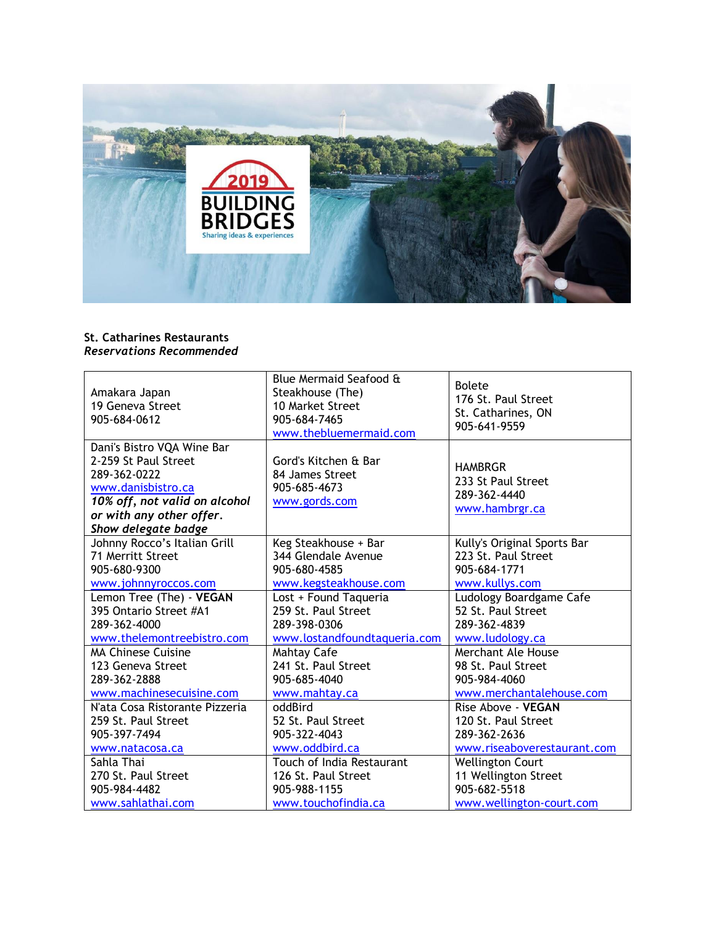

## **St. Catharines Restaurants** *Reservations Recommended*

| Amakara Japan<br>19 Geneva Street<br>905-684-0612                                                                                                                            | Blue Mermaid Seafood &<br>Steakhouse (The)<br>10 Market Street<br>905-684-7465<br>www.thebluemermaid.com | <b>Bolete</b><br>176 St. Paul Street<br>St. Catharines, ON<br>905-641-9559 |
|------------------------------------------------------------------------------------------------------------------------------------------------------------------------------|----------------------------------------------------------------------------------------------------------|----------------------------------------------------------------------------|
| Dani's Bistro VQA Wine Bar<br>2-259 St Paul Street<br>289-362-0222<br>www.danisbistro.ca<br>10% off, not valid on alcohol<br>or with any other offer.<br>Show delegate badge | Gord's Kitchen & Bar<br>84 James Street<br>905-685-4673<br>www.gords.com                                 | <b>HAMBRGR</b><br>233 St Paul Street<br>289-362-4440<br>www.hambrgr.ca     |
| Johnny Rocco's Italian Grill                                                                                                                                                 | Keg Steakhouse + Bar                                                                                     | Kully's Original Sports Bar                                                |
| 71 Merritt Street                                                                                                                                                            | 344 Glendale Avenue                                                                                      | 223 St. Paul Street                                                        |
| 905-680-9300                                                                                                                                                                 | 905-680-4585                                                                                             | 905-684-1771                                                               |
| www.johnnyroccos.com                                                                                                                                                         | www.kegsteakhouse.com                                                                                    | www.kullys.com                                                             |
| Lemon Tree (The) - VEGAN                                                                                                                                                     | Lost + Found Taqueria                                                                                    | Ludology Boardgame Cafe                                                    |
| 395 Ontario Street #A1                                                                                                                                                       | 259 St. Paul Street                                                                                      | 52 St. Paul Street                                                         |
| 289-362-4000                                                                                                                                                                 | 289-398-0306                                                                                             | 289-362-4839                                                               |
| www.thelemontreebistro.com                                                                                                                                                   | www.lostandfoundtaqueria.com                                                                             | www.ludology.ca                                                            |
| <b>MA Chinese Cuisine</b>                                                                                                                                                    | Mahtay Cafe                                                                                              | Merchant Ale House                                                         |
| 123 Geneva Street                                                                                                                                                            | 241 St. Paul Street                                                                                      | 98 St. Paul Street                                                         |
| 289-362-2888                                                                                                                                                                 | 905-685-4040                                                                                             | 905-984-4060                                                               |
| www.machinesecuisine.com                                                                                                                                                     | www.mahtay.ca                                                                                            | www.merchantalehouse.com                                                   |
| N'ata Cosa Ristorante Pizzeria                                                                                                                                               | oddBird                                                                                                  | Rise Above - VEGAN                                                         |
| 259 St. Paul Street                                                                                                                                                          | 52 St. Paul Street                                                                                       | 120 St. Paul Street                                                        |
| 905-397-7494                                                                                                                                                                 | 905-322-4043                                                                                             | 289-362-2636                                                               |
| www.natacosa.ca                                                                                                                                                              | www.oddbird.ca                                                                                           | www.riseaboverestaurant.com                                                |
| Sahla Thai                                                                                                                                                                   | Touch of India Restaurant                                                                                | <b>Wellington Court</b>                                                    |
| 270 St. Paul Street                                                                                                                                                          | 126 St. Paul Street                                                                                      | 11 Wellington Street                                                       |
| 905-984-4482                                                                                                                                                                 | 905-988-1155                                                                                             | 905-682-5518                                                               |
| www.sahlathai.com                                                                                                                                                            | www.touchofindia.ca                                                                                      | www.wellington-court.com                                                   |